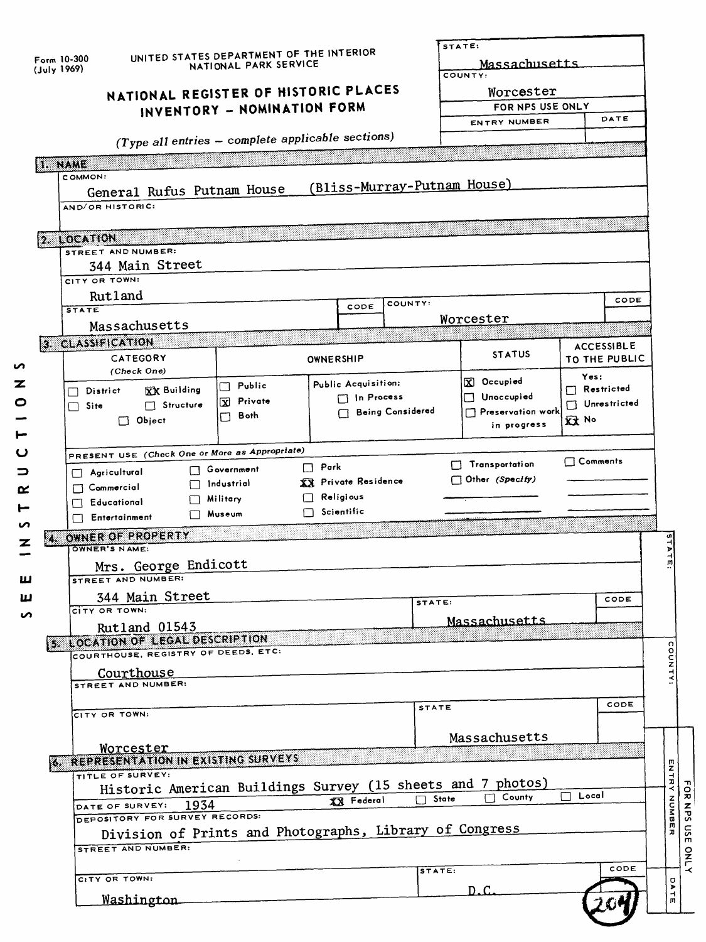| Form 10-300<br>$($ July 1969) |                                                             | UNITED STATES DEPARTMENT OF THE INTERIOR<br>NATIONAL PARK SERVICE |                                       |                 | STATE:<br>Massachusetts<br>COUNTY: |                      |  |
|-------------------------------|-------------------------------------------------------------|-------------------------------------------------------------------|---------------------------------------|-----------------|------------------------------------|----------------------|--|
|                               |                                                             | NATIONAL REGISTER OF HISTORIC PLACES                              |                                       |                 | Worcester                          |                      |  |
|                               |                                                             | INVENTORY - NOMINATION FORM                                       |                                       |                 | FOR NPS USE ONLY                   | DATE                 |  |
|                               |                                                             |                                                                   |                                       |                 | ENTRY NUMBER                       |                      |  |
|                               | (Type all entries - complete applicable sections)           |                                                                   |                                       |                 |                                    |                      |  |
| <b>1. NAME</b>                | COMMON:                                                     |                                                                   |                                       |                 |                                    |                      |  |
|                               | General Rufus Putnam House                                  |                                                                   | (Bliss-Murray-Putnam House)           |                 |                                    |                      |  |
|                               | AND/OR HISTORIC:                                            |                                                                   |                                       |                 |                                    |                      |  |
|                               |                                                             |                                                                   |                                       |                 |                                    |                      |  |
|                               | $ 2.$ LOCATION<br>STREET AND NUMBER:                        |                                                                   |                                       |                 |                                    |                      |  |
|                               | 344 Main Street                                             |                                                                   |                                       |                 |                                    |                      |  |
|                               | CITY OR TOWN!                                               |                                                                   |                                       |                 |                                    |                      |  |
|                               | Rutland<br><b>STATE</b>                                     |                                                                   | COUNTY:<br>CODE                       |                 |                                    | CODE                 |  |
|                               | Massachusetts                                               |                                                                   |                                       |                 | Worcester                          |                      |  |
|                               | 3. CLASSIFICATION                                           |                                                                   |                                       |                 |                                    | <b>ACCESSIBLE</b>    |  |
|                               | CATEGORY                                                    |                                                                   | OWNERSHIP                             |                 | <b>STATUS</b>                      | <b>TO THE PUBLIC</b> |  |
|                               | (Check One)                                                 |                                                                   | Public Acquisition:                   |                 | X Occupied                         | Yes:                 |  |
|                               | <b>XX Building</b><br>District                              | Public<br>П<br>X Private                                          | n Process                             |                 | $\Box$ Unoccupied                  | Restricted           |  |
|                               | Structure<br>Site<br>$\Box$ Object                          | Both<br>П                                                         | <b>Being Considered</b>               |                 | $\Box$ Preservation work           | Unrestricted<br>双ト   |  |
|                               |                                                             |                                                                   |                                       |                 | in progress                        |                      |  |
|                               | PRESENT USE (Check One or More as Appropriate)              |                                                                   |                                       |                 |                                    |                      |  |
|                               | $\Box$ Agricultural                                         | Government                                                        | $\Box$ Park                           |                 | $\Box$ Transportation              | $\Box$ Comments      |  |
|                               | $\mathbf{1}$<br>$\Box$ Commercial                           | Industrial                                                        | XX Private Residence                  |                 | $\Box$ Other (Specify)             |                      |  |
|                               | Educational<br>1 I                                          | Military<br>Museum                                                | $\Box$ Religious<br>$\Box$ Scientific |                 |                                    |                      |  |
|                               | Fittertainment                                              |                                                                   |                                       |                 |                                    |                      |  |
|                               | <b>M. OWNER OF PROPERTY</b><br><b>OWNER'S NAME:</b>         |                                                                   |                                       |                 |                                    |                      |  |
|                               | Mrs. George Endicott                                        |                                                                   |                                       |                 |                                    |                      |  |
|                               | STREET AND NUMBER:                                          |                                                                   |                                       |                 |                                    |                      |  |
|                               | 344 Main Street                                             |                                                                   |                                       | STATE:          |                                    | CODE                 |  |
|                               | CITY OR TOWN:<br>Rutland 01543                              |                                                                   |                                       |                 | Massachusetts                      |                      |  |
|                               | 5 LOCATION OF LEGAL DESCRIPTION                             |                                                                   |                                       |                 |                                    |                      |  |
|                               | COURTHOUSE, REGISTRY OF DEEDS, ETC.                         |                                                                   |                                       |                 |                                    |                      |  |
|                               | Courthouse<br>STREET AND NUMBER:                            |                                                                   |                                       |                 |                                    |                      |  |
|                               |                                                             |                                                                   |                                       |                 |                                    | CODE                 |  |
|                               | CITY OR TOWN:                                               |                                                                   |                                       | <b>STATE</b>    |                                    |                      |  |
|                               |                                                             |                                                                   |                                       |                 | Massachusetts                      |                      |  |
|                               | Worcester<br>6 REPRESENTATION IN EXISTING SURVEYS           |                                                                   |                                       |                 |                                    |                      |  |
|                               | TITLE OF SURVEY:                                            |                                                                   |                                       |                 |                                    |                      |  |
|                               | Historic American Buildings Survey (15 sheets and 7 photos) |                                                                   |                                       |                 | $\Box$ County                      | Local                |  |
|                               | 1934<br>DATE OF SURVEY:<br>DEPOSITORY FOR SURVEY RECORDS:   |                                                                   | XX Federal                            | State<br>$\Box$ |                                    |                      |  |
|                               | Division of Prints and Photographs, Library of Congress     |                                                                   |                                       |                 |                                    |                      |  |
|                               | STREET AND NUMBER:                                          |                                                                   |                                       |                 |                                    |                      |  |
|                               |                                                             |                                                                   |                                       | STATE:          |                                    | CODE                 |  |
|                               |                                                             |                                                                   |                                       |                 |                                    |                      |  |
|                               | CITY OR TOWN:                                               |                                                                   |                                       |                 | D.C                                |                      |  |

Z o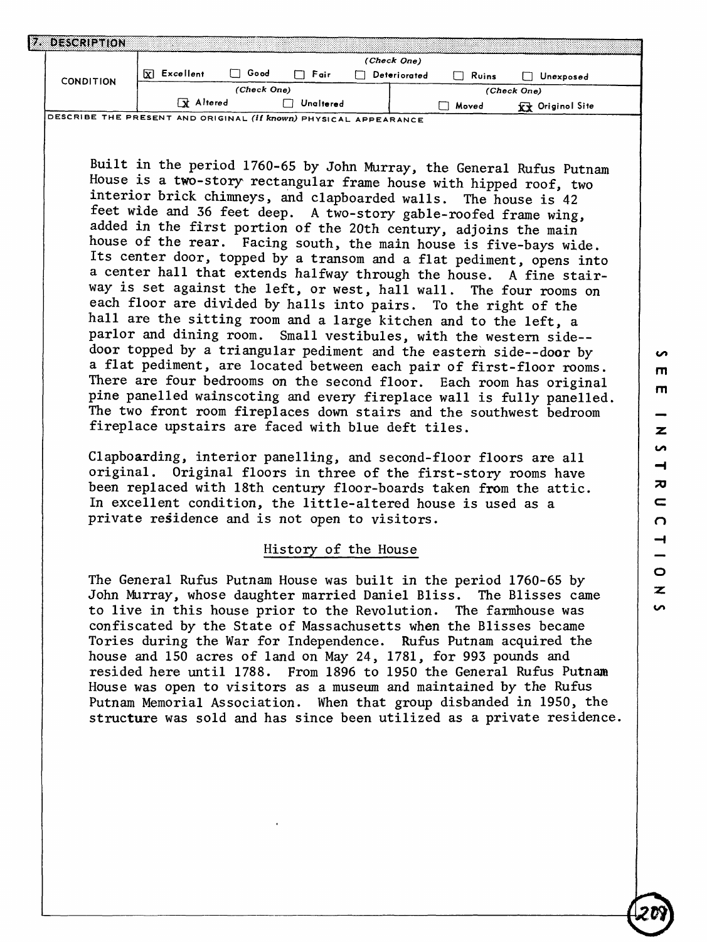| DESCRIPTION      |                  |             |           |              |       |                         |  |
|------------------|------------------|-------------|-----------|--------------|-------|-------------------------|--|
|                  |                  |             |           | (Check One)  |       |                         |  |
| <b>CONDITION</b> | ⊠<br>Excellent   | Good        | Fair      | Deteriorated | Ruins | Unexposed               |  |
|                  |                  | (Check One) |           |              |       | (Check One)             |  |
|                  | <b>R</b> Altered |             | Unaltered |              | Moved | <b>Ky</b> Originol Site |  |

**DESCRIBE THE PRESENT AND ORIGINAL (if known) PHYSICAL APPEARANCE**

Built in the period 1760-65 by John Murray, the General Rufus Putnam House is a two-story rectangular frame house with hipped roof, two interior brick chimneys, and clapboarded walls. The house is 42 feet wide and 36 feet deep. A two-story gable-roofed frame wing, added in the first portion of the 20th century, adjoins the main house of the rear. Facing south, the main house is five-bays wide. Its center door, topped by a transom and a flat pediment, opens into a center hall that extends halfway through the house. A fine stairway is set against the left, or west, hall wall. The four rooms on each floor are divided by halls into pairs. To the right of the hall are the sitting room and a large kitchen and to the left, a parlor and dining room. Small vestibules, with the western side- door topped by a triangular pediment and the eastern side--door by a flat pediment, are located between each pair of first-floor rooms. There are four bedrooms on the second floor. Each room has original pine panelled wainscoting and every fireplace wall is fully panelled. The two front room fireplaces down stairs and the southwest bedroom fireplace upstairs are faced with blue deft tiles.

Clapboarding, interior panelling, and second-floor floors are all original. Original floors in three of the first-story rooms have been replaced with 18th century floor-boards taken from the attic. In excellent condition, the little-altered house is used as a private residence and is not open to visitors.

#### History of the House

The General Rufus Putnam House was built in the period 1760-65 by John Murray, whose daughter married Daniel Bliss. The Blisses came to live in this house prior to the Revolution. The farmhouse was confiscated by the State of Massachusetts when the Blisses became Tories during the War for Independence. Rufus Putnam acquired the house and 150 acres of land on May 24, 1781, for 993 pounds and resided here until 1788. From 1896 to 1950 the General Rufus Putnam House was open to visitors as a museum and maintained by the Rufus Putnam Memorial Association. When that group disbanded in 1950, the structure was sold and has since been utilized as a private residence,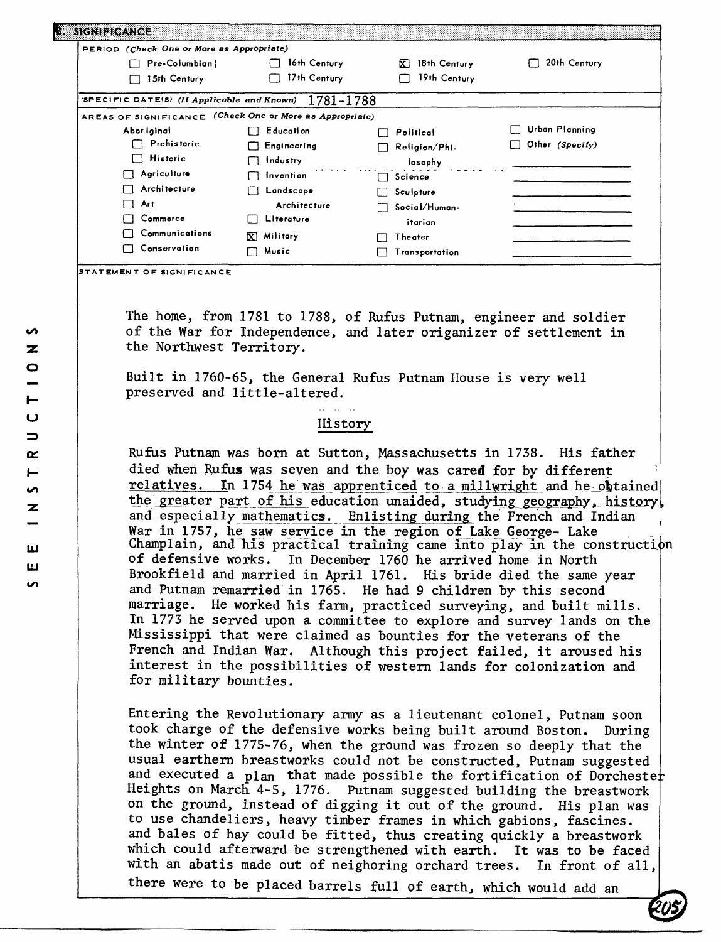| PERIOD (Check One or More as Appropriate)                |                         |                    |                 |
|----------------------------------------------------------|-------------------------|--------------------|-----------------|
| Pre-Columbian!                                           | 16th Century            | 18th Century<br>X. | 20th Century    |
| 15th Century                                             | 17th Century<br>$\perp$ | 19th Century       |                 |
| SPECIFIC DATE(S) (If Applicable and Known)               | 1781-1788               |                    |                 |
| AREAS OF SIGNIFICANCE (Check One or More as Appropriate) |                         |                    |                 |
| Abor iginal                                              | Education               | Political          | Urban Planning  |
| Prehistoric                                              | Engineering             | Religion/Phi.      | Other (Specify) |
| <b>Historic</b><br>$\Box$                                | <b>Industry</b>         | losophy            |                 |
| Agriculture                                              | Invention               | Science            |                 |
| <b>Architecture</b>                                      | Landscape               | Sculpture          |                 |
| Art                                                      | Architecture            | Social/Human-      |                 |
| Commerce                                                 | Literature              | itarian            |                 |
| Communications                                           | <b>X</b> Military       | Theater            |                 |
| Conservation                                             | Music                   | Transportation     |                 |

The home, from 1781 to 1788, of Rufus Putnam, engineer and soldier of the War for Independence, and later origanizer of settlement in the Northwest Territory.

Built in 1760-65, the General Rufus Putnam House is very well preserved and little-altered.

#### History

Rufus Putnam was born at Sutton, Massachusetts in 1738. His father died when Rufus was seven and the boy was cared for by different relatives. In 1754 he was apprenticed to a millwright and he obtained the greater part of his education unaided, studying geography, history and especially mathematics. Enlisting during the French and Indian War in 1757, he saw service in the region of Lake George- Lake Champlain, and his practical training came into play in the construction of defensive works. In December 1760 he arrived home in North Brookfield and married in April 1761. His bride died the same year and Putnam remarried in 1765. He had 9 children by this second marriage. He worked his farm, practiced surveying, and built mills. In 1773 he served upon a committee to explore and survey lands on the Mississippi that were claimed as bounties for the veterans of the French and Indian War. Although this project failed, it aroused his interest in the possibilities of western lands for colonization and for military bounties.

Entering the Revolutionary army as a lieutenant colonel, Putnam soon took charge of the defensive works being built around Boston. During the winter of 1775-76, when the ground was frozen so deeply that the usual earthern breastworks could not be constructed, Putnam suggested and executed a plan that made possible the fortification of Dorchester Heights on March 4-5, 1776. Putnam suggested building the breastwork on the ground, instead of digging it out of the ground. His plan was to use chandeliers, heavy timber frames in which gabions, fascines, and bales of hay could be fitted, thus creating quickly a breastwork which could afterward be strengthened with earth. It was to be faced with an abatis made out of neighoring orchard trees. In front of all,

**in**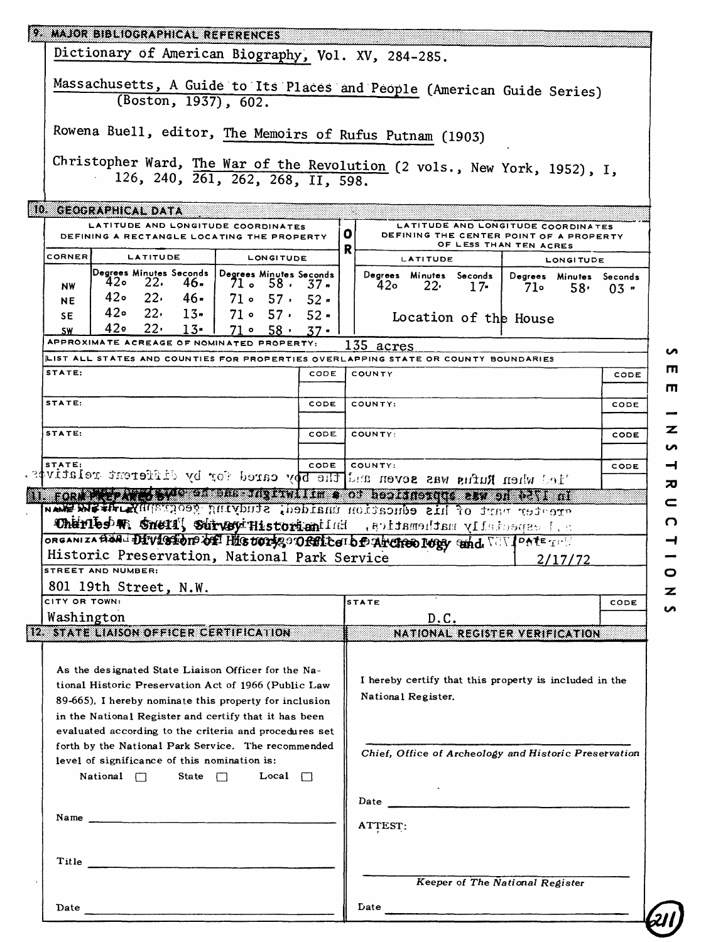| 9. MAJOR BIBLIOGRAPHICAL REFERENCES                                                                                                                                                                                                                                                            |                    |                                                        |                        |                                                      |
|------------------------------------------------------------------------------------------------------------------------------------------------------------------------------------------------------------------------------------------------------------------------------------------------|--------------------|--------------------------------------------------------|------------------------|------------------------------------------------------|
| Dictionary of American Biography, Vol. XV, 284-285.                                                                                                                                                                                                                                            |                    |                                                        |                        |                                                      |
|                                                                                                                                                                                                                                                                                                |                    |                                                        |                        |                                                      |
| Massachusetts, A Guide to Its Places and People (American Guide Series)<br>(Boston, 1937), 602.                                                                                                                                                                                                |                    |                                                        |                        |                                                      |
|                                                                                                                                                                                                                                                                                                |                    |                                                        |                        |                                                      |
| Rowena Buell, editor, The Memoirs of Rufus Putnam (1903)                                                                                                                                                                                                                                       |                    |                                                        |                        |                                                      |
|                                                                                                                                                                                                                                                                                                |                    |                                                        |                        |                                                      |
| Christopher Ward, The War of the Revolution (2 vols., New York, 1952), I,<br>126, 240, 261, 262, 268, II, 598.                                                                                                                                                                                 |                    |                                                        |                        |                                                      |
|                                                                                                                                                                                                                                                                                                |                    |                                                        |                        |                                                      |
| 10. GEOGRAPHICAL DATA                                                                                                                                                                                                                                                                          |                    |                                                        |                        |                                                      |
| LATITUDE AND LONGITUDE COORDINATES                                                                                                                                                                                                                                                             | οı                 | LATITUDE AND LONGITUDE COORDINATES                     |                        |                                                      |
| DEFINING A RECTANGLE LOCATING THE PROPERTY                                                                                                                                                                                                                                                     | R                  | DEFINING THE CENTER POINT OF A PROPERTY                | OF LESS THAN TEN ACRES |                                                      |
| CORNER<br>LATITUDE<br>LONGITUDE                                                                                                                                                                                                                                                                |                    | LATITUDE                                               |                        | <b>LONGITUDE</b>                                     |
| Degrees Minutes Seconds  <br>Degrees Minutes Seconds<br>42• 22,<br>46.<br>71. 58. 37.<br><b>NW</b>                                                                                                                                                                                             | 42o                | Degrees Minutes Seconds  <br>22,<br>$17-$              | 71.                    | Degrees Minutes Seconds<br>58 <sub>1</sub><br>$03 -$ |
| 42。 22,<br>-46<br>$71 \circ 57 \cdot 52 \cdot$<br><b>NE</b>                                                                                                                                                                                                                                    |                    |                                                        |                        |                                                      |
| $420$ $22.$ $13.$<br>$71 \circ 57 \cdot 52$<br>SE.                                                                                                                                                                                                                                             |                    | Location of the House                                  |                        |                                                      |
| ⊸42<br>$22 \cdot$<br>$13-$<br>$71 \circ 58$<br>$37 -$<br><b>SW</b><br>APPROXIMATE ACREAGE OF NOMINATED PROPERTY:                                                                                                                                                                               |                    |                                                        |                        |                                                      |
| LIST ALL STATES AND COUNTIES FOR PROPERTIES OVERLAPPING STATE OR COUNTY BOUNDARIES                                                                                                                                                                                                             | 135 acres          |                                                        |                        |                                                      |
| STATE:<br>CODE                                                                                                                                                                                                                                                                                 | COUNTY             |                                                        |                        | CODE                                                 |
|                                                                                                                                                                                                                                                                                                |                    |                                                        |                        |                                                      |
| STATE:<br>CODE                                                                                                                                                                                                                                                                                 | COUNTY:            |                                                        |                        | CODE                                                 |
| STATE:<br>CODE                                                                                                                                                                                                                                                                                 | COUNTY:            |                                                        |                        | CODE                                                 |
|                                                                                                                                                                                                                                                                                                |                    |                                                        |                        |                                                      |
|                                                                                                                                                                                                                                                                                                |                    |                                                        |                        |                                                      |
| CODE<br>STATE:                                                                                                                                                                                                                                                                                 | COUNTY:            |                                                        |                        | CODE                                                 |
| led when Rufus was seven and the boy cared for by different relatives.                                                                                                                                                                                                                         |                    |                                                        |                        |                                                      |
| <b>Transaction of State and the formal contract of the state of the state of the state of the state of the state o</b>                                                                                                                                                                         |                    |                                                        |                        |                                                      |
| erester part of his education unaided; studying geography distributed than                                                                                                                                                                                                                     |                    |                                                        |                        |                                                      |
| a. I especially mathematics. Enligginously wearing fines medicino                                                                                                                                                                                                                              |                    |                                                        |                        |                                                      |
| ORGANIZABANI DIVISION OF HIS UOTIS ORTICATO PATCHEO IUDY THA. VONTE TIM<br>Historic Preservation, National Park Service                                                                                                                                                                        |                    |                                                        |                        |                                                      |
| <b>STREET AND NUMBER:</b>                                                                                                                                                                                                                                                                      |                    |                                                        | 2/17/72                |                                                      |
| 801 19th Street, N.W.                                                                                                                                                                                                                                                                          |                    |                                                        |                        |                                                      |
| CITY OR TOWN:                                                                                                                                                                                                                                                                                  | <b>STATE</b>       |                                                        |                        | CODE                                                 |
| Washington<br>12 STATE LIAISON OFFICER CERTIFICATION                                                                                                                                                                                                                                           |                    | D.C.                                                   |                        |                                                      |
|                                                                                                                                                                                                                                                                                                |                    | NATIONAL REGISTER VERIFICATION                         |                        |                                                      |
| As the designated State Liaison Officer for the Na-                                                                                                                                                                                                                                            |                    |                                                        |                        |                                                      |
| tional Historic Preservation Act of 1966 (Public Law                                                                                                                                                                                                                                           |                    | I hereby certify that this property is included in the |                        |                                                      |
| 89-665), I hereby nominate this property for inclusion                                                                                                                                                                                                                                         | National Register. |                                                        |                        |                                                      |
| in the National Register and certify that it has been                                                                                                                                                                                                                                          |                    |                                                        |                        |                                                      |
| evaluated according to the criteria and procedures set                                                                                                                                                                                                                                         |                    |                                                        |                        |                                                      |
| forth by the National Park Service. The recommended                                                                                                                                                                                                                                            |                    | Chief, Office of Archeology and Historic Preservation  |                        |                                                      |
| level of significance of this nomination is:<br>National $\Box$ State $\Box$<br>Local $\Box$                                                                                                                                                                                                   |                    |                                                        |                        |                                                      |
|                                                                                                                                                                                                                                                                                                |                    |                                                        |                        |                                                      |
|                                                                                                                                                                                                                                                                                                |                    |                                                        |                        |                                                      |
| Name $\frac{1}{2}$ and $\frac{1}{2}$ and $\frac{1}{2}$ and $\frac{1}{2}$ and $\frac{1}{2}$ and $\frac{1}{2}$ and $\frac{1}{2}$ and $\frac{1}{2}$ and $\frac{1}{2}$ and $\frac{1}{2}$ and $\frac{1}{2}$ and $\frac{1}{2}$ and $\frac{1}{2}$ and $\frac{1}{2}$ and $\frac{1}{2}$ and $\frac{1}{$ | ATTEST:            |                                                        |                        |                                                      |
|                                                                                                                                                                                                                                                                                                |                    |                                                        |                        |                                                      |
|                                                                                                                                                                                                                                                                                                |                    |                                                        |                        |                                                      |
|                                                                                                                                                                                                                                                                                                |                    | Keeper of The National Register                        |                        |                                                      |
| Date $\qquad \qquad$                                                                                                                                                                                                                                                                           |                    | $Date$ $\overline{\phantom{a}}$                        |                        |                                                      |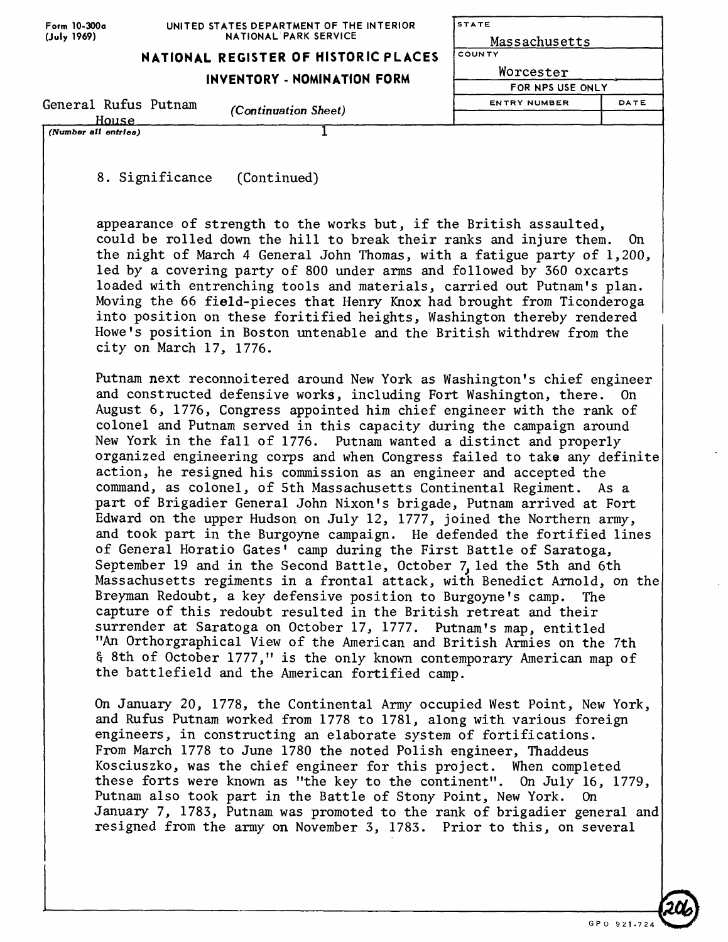| Form 10-300a |
|--------------|
| (July 1969)  |

| (Number all entries) |                                      |                             |
|----------------------|--------------------------------------|-----------------------------|
| House                |                                      |                             |
| General Rufus Putnam | <i>(Continuation Sheet)</i>          | DATE<br><b>ENTRY NUMBER</b> |
|                      |                                      | FOR NPS USE ONLY            |
|                      | <b>INVENTORY - NOMINATION FORM</b>   | Worcester                   |
|                      | NATIONAL REGISTER OF HISTORIC PLACES | l county                    |
| (July 1969)          | NATIONAL PARK SERVICE                | Massachusetts               |
|                      |                                      |                             |

**STATE** 

8. Significance (Continued)

appearance of strength to the works but, if the British assaulted, could be rolled down the hill to break their ranks and injure them. On the night of March 4 General John Thomas, with a fatigue party of 1,200, led by a covering party of 800 under arms and followed by 360 oxcarts loaded with entrenching tools and materials, carried out Putnam's plan. Moving the 66 field-pieces that Henry Knox had brought from Ticonderoga into position on these foritified heights, Washington thereby rendered Howe's position in Boston untenable and the British withdrew from the city on March 17, 1776.

Putnam next reconnoitered around New York as Washington's chief engineer and constructed defensive works, including Fort Washington, there. On August 6, 1776, Congress appointed him chief engineer with the rank of colonel and Putnam served in this capacity during the campaign around New York in the fall of 1776. Putnam wanted a distinct and properly organized engineering corps and when Congress failed to take any definite action, he resigned his commission as an engineer and accepted the command, as colonel, of 5th Massachusetts Continental Regiment. As a part of Brigadier General John Nixon's brigade, Putnam arrived at Fort Edward on the upper Hudson on July 12, 1777, joined the Northern army, and took part in the Burgoyne campaign. He defended the fortified lines of General Horatio Gates' camp during the First Battle of Saratoga, September 19 and in the Second Battle, October 7, led the 5th and 6th Massachusetts regiments in a frontal attack, with Benedict Arnold, on the Breyman Redoubt, a key defensive position to Burgoyne's camp. The capture of this redoubt resulted in the British retreat and their surrender at Saratoga on October 17, 1777. Putnam's map, entitled "An Orthorgraphical View of the American and British Armies on the 7th § 8th of October 1777," is the only known contemporary American map of the battlefield and the American fortified camp.

On January 20, 1778, the Continental Army occupied West Point, New York, and Rufus Putnam worked from 1778 to 1781, along with various foreign engineers, in constructing an elaborate system of fortifications. From March 1778 to June 1780 the noted Polish engineer, Thaddeus Kosciuszko, was the chief engineer for this project. When completed these forts were known as "the key to the continent". On July 16, 1779, Putnam also took part in the Battle of Stony Point, New York. On January 7, 1783, Putnam was promoted to the rank of brigadier general and resigned from the army on November 3, 1783. Prior to this, on several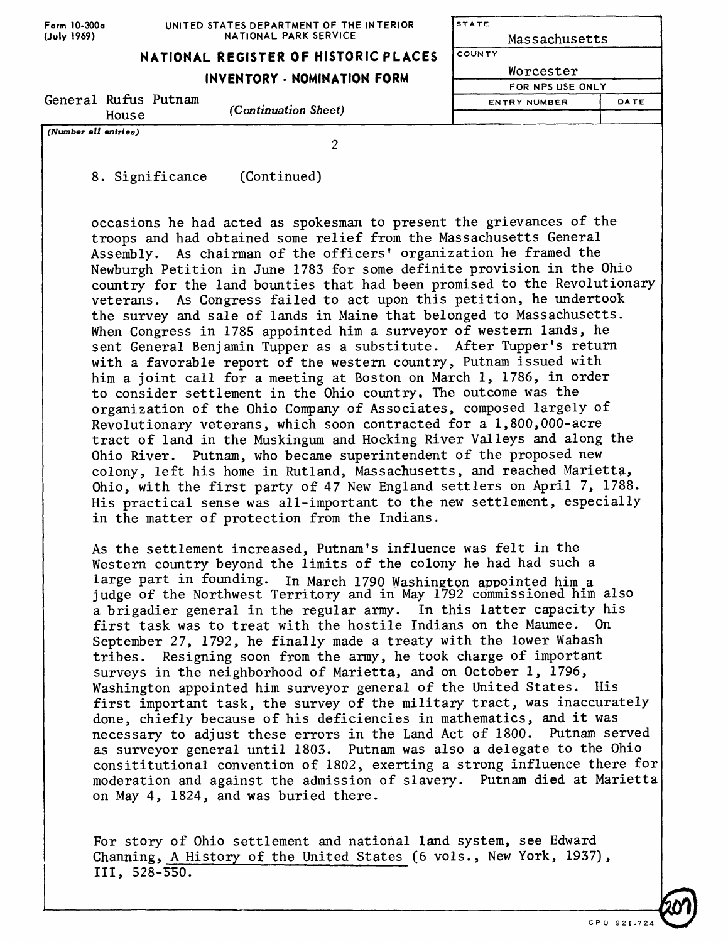| Form 10-300a |
|--------------|
| (July 1969)  |

| <b>STATE</b>        |      |  |  |  |
|---------------------|------|--|--|--|
| Massachusetts       |      |  |  |  |
| COUNTY              |      |  |  |  |
| Worcester           |      |  |  |  |
| FOR NPS USE ONLY    |      |  |  |  |
| <b>ENTRY NUMBER</b> | DATE |  |  |  |

# **NATIONAL REGISTER OF HISTORIC PLACES**

#### **INVENTORY - NOMINATION FORM**

General Rufus Putnam House *(Continuation Sheet)*

*(Number all entries)*

 $\overline{2}$ 

8. Significance (Continued)

occasions he had acted as spokesman to present the grievances of the troops and had obtained some relief from the Massachusetts General Assembly. As chairman of the officers' organization he framed the Newburgh Petition in June 1783 for some definite provision in the Ohio country for the land bounties that had been promised to the Revolutionary veterans. As Congress failed to act upon this petition, he undertook the survey and sale of lands in Maine that belonged to Massachusetts. When Congress in 1785 appointed him a surveyor of western lands, he sent General Benjamin Tupper as a substitute. After Tupper's return with a favorable report of the western country, Putnam issued with him a joint call for a meeting at Boston on March 1, 1786, in order to consider settlement in the Ohio country. The outcome was the organization of the Ohio Company of Associates, composed largely of Revolutionary veterans, which soon contracted for a 1,800,000-acre tract of land in the Muskingum and Hocking River Valleys and along the Ohio River. Putnam, who became superintendent of the proposed new colony, left his home in Rutland, Massachusetts, and reached Marietta, Ohio, with the first party of 47 New England settlers on April 7, 1788. His practical sense was all-important to the new settlement, especially in the matter of protection from the Indians.

As the settlement increased, Putnam's influence was felt in the Western country beyond the limits of the colony he had had such a large part in founding. In March 1790 Washington appointed him a judge of the Northwest Territory and in May 1792 commissioned him also a brigadier general in the regular army. In this latter capacity his first task was to treat with the hostile Indians on the Maumee. On September 27, 1792, he finally made a treaty with the lower Wabash tribes. Resigning soon from the army, he took charge of important surveys in the neighborhood of Marietta, and on October 1, 1796, Washington appointed him surveyor general of the United States. His first important task, the survey of the military tract, was inaccurately done, chiefly because of his deficiencies in mathematics, and it was necessary to adjust these errors in the Land Act of 1800. Putnam served as surveyor general until 1803. Putnam was also a delegate to the Ohio consititutional convention of 1802, exerting a strong influence there for moderation and against the admission of slavery. Putnam died at Marietta on May 4, 1824, and was buried there.

For story of Ohio settlement and national land system, see Edward Channing, A History of the United States (6 vols., New York, 1937), III, 528-550.